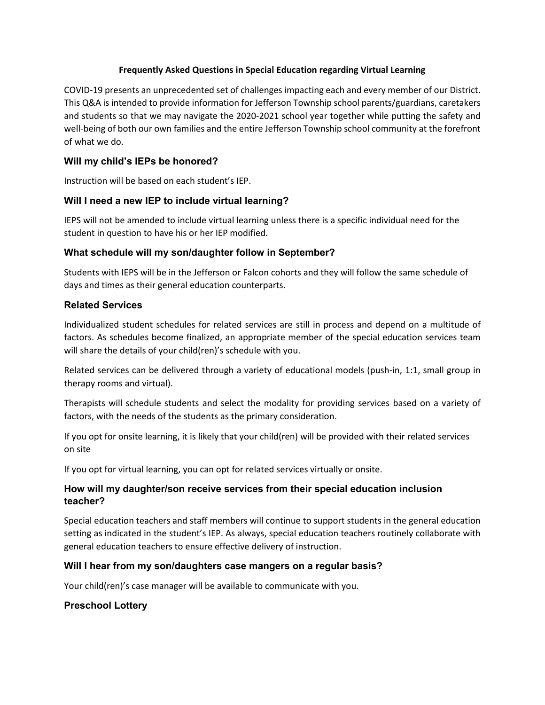#### **Frequently Asked Questions in Special Education regarding Virtual Learning**

COVID-19 presents an unprecedented set of challenges impacting each and every member of our District. This Q&A is intended to provide information for Jefferson Township school parents/guardians, caretakers and students so that we may navigate the 2020-2021 school year together while putting the safety and well-being of both our own families and the entire Jefferson Township school community at the forefront of what we do.

# **Will my child's IEPs be honored?**

Instruction will be based on each student's IEP.

## **Will I need a new IEP to include virtual learning?**

IEPS will not be amended to include virtual learning unless there is a specific individual need for the student in question to have his or her IEP modified.

### **What schedule will my son/daughter follow in September?**

Students with IEPS will be in the Jefferson or Falcon cohorts and they will follow the same schedule of days and times as their general education counterparts.

### **Related Services**

Individualized student schedules for related services are still in process and depend on a multitude of factors. As schedules become finalized, an appropriate member of the special education services team will share the details of your child(ren)'s schedule with you.

Related services can be delivered through a variety of educational models (push-in, 1:1, small group in therapy rooms and virtual).

Therapists will schedule students and select the modality for providing services based on a variety of factors, with the needs of the students as the primary consideration.

If you opt for onsite learning, it is likely that your child(ren) will be provided with their related services on site

If you opt for virtual learning, you can opt for related services virtually or onsite.

### **How will my daughter/son receive services from their special education inclusion teacher?**

Special education teachers and staff members will continue to support students in the general education setting as indicated in the student's IEP. As always, special education teachers routinely collaborate with general education teachers to ensure effective delivery of instruction.

### **Will I hear from my son/daughters case mangers on a regular basis?**

Your child(ren)'s case manager will be available to communicate with you.

### **Preschool Lottery**